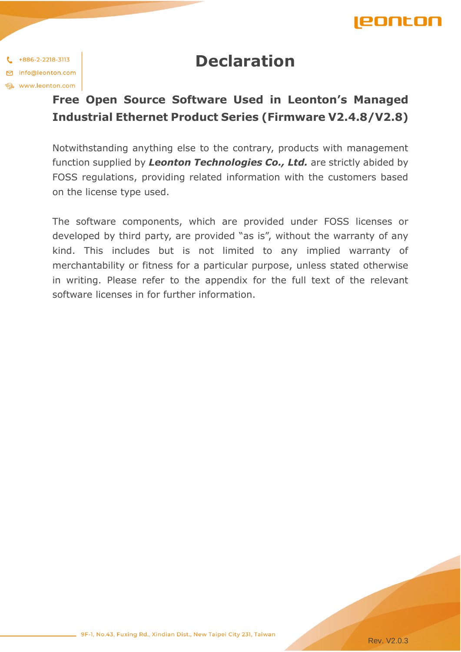

## **Declaration**

 $1 + 886 - 2 - 2218 - 3113$ □ info@leonton.com **Et www.leonton.com** 

## **Free Open Source Software Used in Leonton's Managed Industrial Ethernet Product Series (Firmware V2.4.8/V2.8)**

Notwithstanding anything else to the contrary, products with management function supplied by *Leonton Technologies Co., Ltd.* are strictly abided by FOSS regulations, providing related information with the customers based on the license type used.

The software components, which are provided under FOSS licenses or developed by third party, are provided "as is", without the warranty of any kind. This includes but is not limited to any implied warranty of merchantability or fitness for a particular purpose, unless stated otherwise in writing. Please refer to the appendix for the full text of the relevant software licenses in for further information.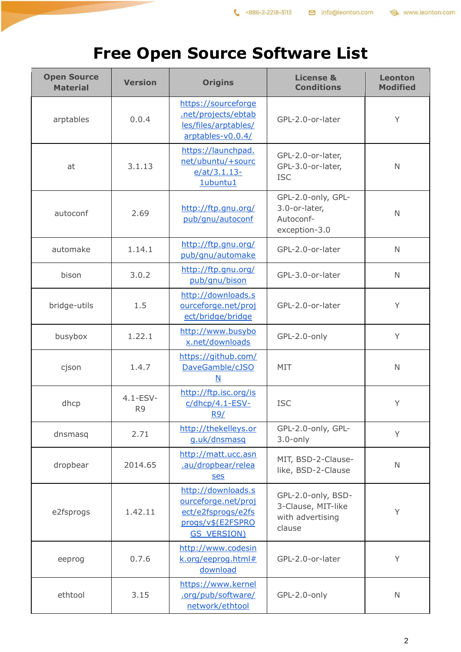## www.leonton.com

## **Free Open Source Software List**

| <b>Open Source</b><br><b>Material</b> | <b>Version</b>                  | <b>Origins</b>                                                                                             | <b>License &amp;</b><br><b>Conditions</b>                              | <b>Leonton</b><br><b>Modified</b> |
|---------------------------------------|---------------------------------|------------------------------------------------------------------------------------------------------------|------------------------------------------------------------------------|-----------------------------------|
| arptables                             | 0.0.4                           | https://sourceforge<br>.net/projects/ebtab<br>les/files/arptables/<br>arptables-v0.0.4/                    | GPL-2.0-or-later                                                       | Y                                 |
| at                                    | 3.1.13                          | https://launchpad.<br>net/ubuntu/+sourc<br>$e$ /at/3.1.13-<br>1ubuntu1                                     | GPL-2.0-or-later,<br>GPL-3.0-or-later,<br><b>ISC</b>                   | $\mathsf{N}$                      |
| autoconf                              | 2.69                            | http://ftp.gnu.org/<br>pub/gnu/autoconf                                                                    | GPL-2.0-only, GPL-<br>3.0-or-later,<br>Autoconf-<br>exception-3.0      | $\mathsf{N}$                      |
| automake                              | 1.14.1                          | http://ftp.gnu.org/<br>pub/gnu/automake                                                                    | GPL-2.0-or-later                                                       | $\mathsf{N}$                      |
| bison                                 | 3.0.2                           | http://ftp.gnu.org/<br>pub/gnu/bison                                                                       | GPL-3.0-or-later                                                       | $\mathsf{N}$                      |
| bridge-utils                          | 1.5                             | http://downloads.s<br>ourceforge.net/proj<br>ect/bridge/bridge                                             | GPL-2.0-or-later                                                       | Y                                 |
| busybox                               | 1.22.1                          | http://www.busybo<br>x.net/downloads                                                                       | GPL-2.0-only                                                           | Y                                 |
| cjson                                 | 1.4.7                           | https://github.com/<br>DaveGamble/cJSO<br>$\underline{\mathsf{N}}$                                         | MIT                                                                    | N                                 |
| dhcp                                  | $4.1 - ESV -$<br>R <sub>9</sub> | http://ftp.isc.org/is<br>c/dhcp/4.1-ESV-<br><u>R9/</u>                                                     | <b>ISC</b>                                                             | Y                                 |
| dnsmasq                               | 2.71                            | http://thekelleys.or<br>g.uk/dnsmasq                                                                       | GPL-2.0-only, GPL-<br>$3.0$ -only                                      | Y                                 |
| dropbear                              | 2014.65                         | http://matt.ucc.asn<br>.au/dropbear/relea<br><b>ses</b>                                                    | MIT, BSD-2-Clause-<br>like, BSD-2-Clause                               | $\mathsf{N}$                      |
| e2fsprogs                             | 1.42.11                         | http://downloads.s<br>ourceforge.net/proj<br>ect/e2fsprogs/e2fs<br>progs/v\$(E2FSPRO<br><b>GS VERSION)</b> | GPL-2.0-only, BSD-<br>3-Clause, MIT-like<br>with advertising<br>clause | Y                                 |
| eeprog                                | 0.7.6                           | http://www.codesin<br>k.org/eeprog.html#<br>download                                                       | GPL-2.0-or-later                                                       | Y                                 |
| ethtool                               | 3.15                            | https://www.kernel<br>.org/pub/software/<br>network/ethtool                                                | GPL-2.0-only                                                           | N                                 |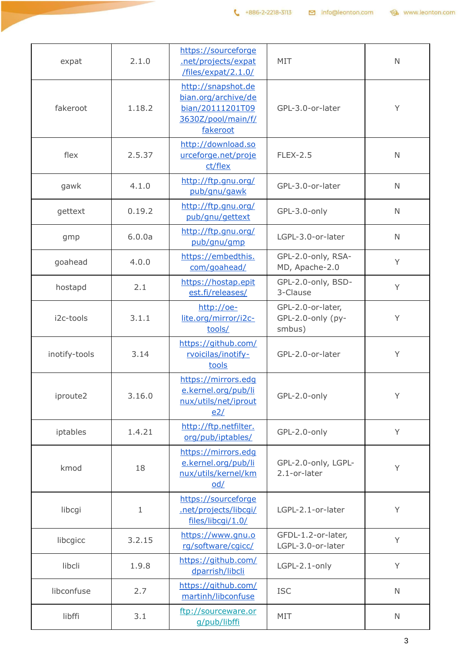| expat         | 2.1.0       | https://sourceforge<br>.net/projects/expat<br>/files/expat/2.1.0/                               | MIT                                              | $\mathsf{N}$ |
|---------------|-------------|-------------------------------------------------------------------------------------------------|--------------------------------------------------|--------------|
| fakeroot      | 1.18.2      | http://snapshot.de<br>bian.org/archive/de<br>bian/20111201T09<br>3630Z/pool/main/f/<br>fakeroot | GPL-3.0-or-later                                 | Y            |
| flex          | 2.5.37      | http://download.so<br>urceforge.net/proje<br>ct/flex                                            | <b>FLEX-2.5</b>                                  | $\mathsf{N}$ |
| gawk          | 4.1.0       | http://ftp.gnu.org/<br>pub/gnu/gawk                                                             | GPL-3.0-or-later                                 | $\mathsf{N}$ |
| gettext       | 0.19.2      | http://ftp.gnu.org/<br>pub/gnu/gettext                                                          | GPL-3.0-only                                     | $\mathsf{N}$ |
| gmp           | 6.0.0a      | http://ftp.gnu.org/<br>pub/gnu/gmp                                                              | LGPL-3.0-or-later                                | $\mathsf{N}$ |
| goahead       | 4.0.0       | https://embedthis.<br>com/goahead/                                                              | GPL-2.0-only, RSA-<br>MD, Apache-2.0             | Y            |
| hostapd       | 2.1         | https://hostap.epit<br>est.fi/releases/                                                         | GPL-2.0-only, BSD-<br>3-Clause                   | Y            |
| i2c-tools     | 3.1.1       | http://oe-<br>lite.org/mirror/i2c-<br>tools/                                                    | GPL-2.0-or-later,<br>GPL-2.0-only (py-<br>smbus) | Υ            |
| inotify-tools | 3.14        | https://github.com/<br>rvoicilas/inotify-<br>tools                                              | GPL-2.0-or-later                                 | Υ            |
| iproute2      | 3.16.0      | https://mirrors.edg<br>e.kernel.org/pub/li<br>nux/utils/net/iprout<br>e2/                       | GPL-2.0-only                                     | Y            |
| iptables      | 1.4.21      | http://ftp.netfilter.<br>org/pub/iptables/                                                      | GPL-2.0-only                                     | Y            |
| kmod          | 18          | https://mirrors.edq<br>e.kernel.org/pub/li<br>nux/utils/kernel/km<br>$\overline{0d}/$           | GPL-2.0-only, LGPL-<br>2.1-or-later              | Y            |
| libcgi        | $\mathbf 1$ | https://sourceforge<br>.net/projects/libcqi/<br>files/libcqi/1.0/                               | LGPL-2.1-or-later                                | Υ            |
| libcgicc      | 3.2.15      | https://www.gnu.o<br>rg/software/cgicc/                                                         | GFDL-1.2-or-later,<br>LGPL-3.0-or-later          | Y            |
| libcli        | 1.9.8       | https://github.com/<br>dparrish/libcli                                                          | LGPL-2.1-only                                    | Y            |
| libconfuse    | 2.7         | https://github.com/<br>martinh/libconfuse                                                       | <b>ISC</b>                                       | $\mathbb N$  |
| libffi        | 3.1         | ftp://sourceware.or<br>g/pub/libffi                                                             | MIT                                              | $\mathsf{N}$ |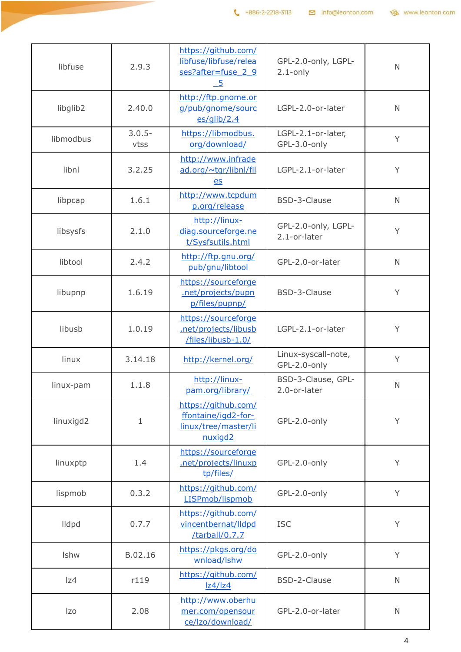| libfuse              | 2.9.3             | https://github.com/<br>libfuse/libfuse/relea<br>ses?after=fuse 2 9<br>$\overline{-5}$ | GPL-2.0-only, LGPL-<br>$2.1$ -only  | $\mathsf{N}$ |
|----------------------|-------------------|---------------------------------------------------------------------------------------|-------------------------------------|--------------|
| libglib <sub>2</sub> | 2.40.0            | http://ftp.gnome.or<br>g/pub/gnome/sourc<br>$es$ /qlib/2.4                            | LGPL-2.0-or-later                   | $\mathsf{N}$ |
| libmodbus            | $3.0.5 -$<br>vtss | https://libmodbus.<br>org/download/                                                   | LGPL-2.1-or-later,<br>GPL-3.0-only  | Y            |
| libnl                | 3.2.25            | http://www.infrade<br>ad.org/~tgr/libnl/fil<br>$es$                                   | LGPL-2.1-or-later                   | Y            |
| libpcap              | 1.6.1             | http://www.tcpdum<br>p.org/release                                                    | BSD-3-Clause                        | $\mathsf{N}$ |
| libsysfs             | 2.1.0             | http://linux-<br>diag.sourceforge.ne<br>t/Sysfsutils.html                             | GPL-2.0-only, LGPL-<br>2.1-or-later | Y            |
| libtool              | 2.4.2             | http://ftp.gnu.org/<br>pub/gnu/libtool                                                | GPL-2.0-or-later                    | $\mathsf{N}$ |
| libupnp              | 1.6.19            | https://sourceforge<br>.net/projects/pupn<br>p/files/pupnp/                           | BSD-3-Clause                        | Y            |
| libusb               | 1.0.19            | https://sourceforge<br>.net/projects/libusb<br>/files/libusb-1.0/                     | LGPL-2.1-or-later                   | Y            |
| linux                | 3.14.18           | http://kernel.org/                                                                    | Linux-syscall-note,<br>GPL-2.0-only | Y            |
| linux-pam            | 1.1.8             | http://linux-<br>pam.org/library/                                                     | BSD-3-Clause, GPL-<br>2.0-or-later  | $\mathsf{N}$ |
| linuxigd2            | $\mathbf 1$       | https://github.com/<br>ffontaine/igd2-for-<br>linux/tree/master/li<br>nuxigd2         | GPL-2.0-only                        | Y            |
| linuxptp             | 1.4               | https://sourceforge<br>.net/projects/linuxp<br>tp/files/                              | GPL-2.0-only                        | Y            |
| lispmob              | 0.3.2             | https://github.com/<br>LISPmob/lispmob                                                | GPL-2.0-only                        | Y            |
| lldpd                | 0.7.7             | https://github.com/<br>vincentbernat/lldpd<br>/tarball/0.7.7                          | <b>ISC</b>                          | Y            |
| Ishw                 | B.02.16           | https://pkgs.org/do<br>wnload/lshw                                                    | GPL-2.0-only                        | Y            |
| z4                   | r119              | https://github.com/<br> z4/ z4                                                        | BSD-2-Clause                        | $\mathsf{N}$ |
| Izo                  | 2.08              | http://www.oberhu<br>mer.com/opensour<br>ce/Izo/download/                             | GPL-2.0-or-later                    | $\mathsf{N}$ |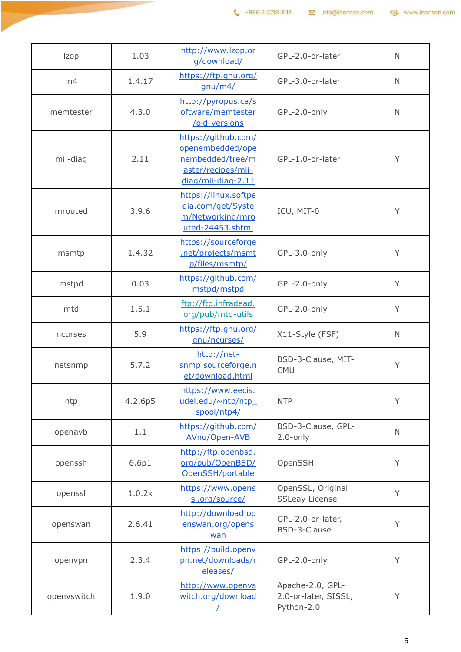| <b>Izop</b> | 1.03    | http://www.lzop.or<br>g/download/                                                                       | GPL-2.0-or-later                                       | $\mathbb N$  |
|-------------|---------|---------------------------------------------------------------------------------------------------------|--------------------------------------------------------|--------------|
| m4          | 1.4.17  | https://ftp.gnu.org/<br>gnu/m4/                                                                         | GPL-3.0-or-later                                       | $\mathbb N$  |
| memtester   | 4.3.0   | http://pyropus.ca/s<br>oftware/memtester<br>/old-versions                                               | GPL-2.0-only                                           | $\mathbb N$  |
| mii-diag    | 2.11    | https://github.com/<br>openembedded/ope<br>nembedded/tree/m<br>aster/recipes/mii-<br>diag/mii-diag-2.11 | GPL-1.0-or-later                                       | Υ            |
| mrouted     | 3.9.6   | https://linux.softpe<br>dia.com/get/Syste<br>m/Networking/mro<br>uted-24453.shtml                       | ICU, MIT-0                                             | Y            |
| msmtp       | 1.4.32  | https://sourceforge<br>.net/projects/msmt<br>p/files/msmtp/                                             | GPL-3.0-only                                           | Y            |
| mstpd       | 0.03    | https://github.com/<br>mstpd/mstpd                                                                      | GPL-2.0-only                                           | Y            |
| mtd         | 1.5.1   | ftp://ftp.infradead.<br>org/pub/mtd-utils                                                               | GPL-2.0-only                                           | Y            |
| ncurses     | 5.9     | https://ftp.gnu.org/<br>gnu/ncurses/                                                                    | X11-Style (FSF)                                        | $\mathsf{N}$ |
| netsnmp     | 5.7.2   | http://net-<br>snmp.sourceforge.n<br>et/download.html                                                   | BSD-3-Clause, MIT-<br><b>CMU</b>                       | Y            |
| ntp         | 4.2.6p5 | https://www.eecis.<br>udel.edu/~ntp/ntp<br>spool/ntp4/                                                  | <b>NTP</b>                                             | Y            |
| openavb     | 1.1     | https://github.com/<br>AVnu/Open-AVB                                                                    | BSD-3-Clause, GPL-<br>$2.0$ -only                      | $\mathsf{N}$ |
| openssh     | 6.6p1   | http://ftp.openbsd.<br>org/pub/OpenBSD/<br>OpenSSH/portable                                             | OpenSSH                                                | Y            |
| openssl     | 1.0.2k  | https://www.opens<br>sl.org/source/                                                                     | OpenSSL, Original<br><b>SSLeay License</b>             | Y            |
| openswan    | 2.6.41  | http://download.op<br>enswan.org/opens<br>wan                                                           | GPL-2.0-or-later,<br>BSD-3-Clause                      | Y            |
| openvpn     | 2.3.4   | https://build.openv<br>pn.net/downloads/r<br>eleases/                                                   | GPL-2.0-only                                           | Y            |
| openvswitch | 1.9.0   | http://www.openvs<br>witch.org/download                                                                 | Apache-2.0, GPL-<br>2.0-or-later, SISSL,<br>Python-2.0 | Y            |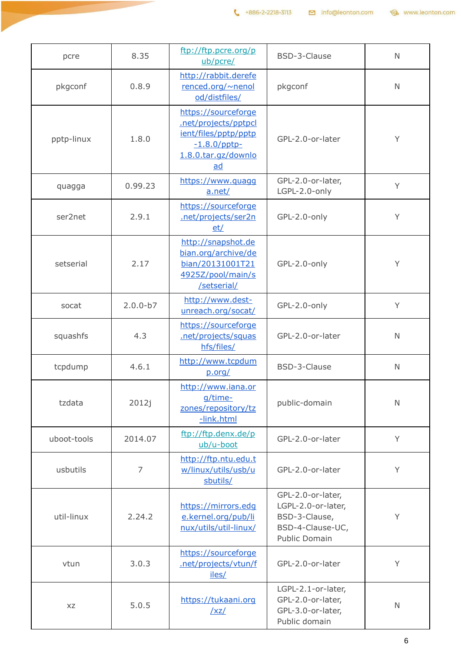| pcre        | 8.35           | ftp://ftp.pcre.org/p<br>ub/pcre/                                                                                    | BSD-3-Clause                                                                                  | $\mathsf{N}$ |
|-------------|----------------|---------------------------------------------------------------------------------------------------------------------|-----------------------------------------------------------------------------------------------|--------------|
| pkgconf     | 0.8.9          | http://rabbit.derefe<br>renced.org/~nenol<br>od/distfiles/                                                          | pkgconf                                                                                       | $\mathsf{N}$ |
| pptp-linux  | 1.8.0          | https://sourceforge<br>.net/projects/pptpcl<br>ient/files/pptp/pptp<br>$-1.8.0$ /pptp-<br>1.8.0.tar.qz/downlo<br>ad | GPL-2.0-or-later                                                                              | Y            |
| quagga      | 0.99.23        | https://www.quagq<br>a.net/                                                                                         | GPL-2.0-or-later,<br>LGPL-2.0-only                                                            | Y            |
| ser2net     | 2.9.1          | https://sourceforge<br>.net/projects/ser2n<br>et/                                                                   | GPL-2.0-only                                                                                  | Y            |
| setserial   | 2.17           | http://snapshot.de<br>bian.org/archive/de<br>bian/20131001T21<br>4925Z/pool/main/s<br>/setserial/                   | GPL-2.0-only                                                                                  | Y            |
| socat       | $2.0.0 - b7$   | http://www.dest-<br>unreach.org/socat/                                                                              | GPL-2.0-only                                                                                  | Y            |
| squashfs    | 4.3            | https://sourceforge<br>.net/projects/squas<br>hfs/files/                                                            | GPL-2.0-or-later                                                                              | $\mathsf{N}$ |
| tcpdump     | 4.6.1          | http://www.tcpdum<br>p.org/                                                                                         | BSD-3-Clause                                                                                  | $\mathsf{N}$ |
| tzdata      | 2012j          | http://www.iana.or<br>g/time-<br>zones/repository/tz<br>-link.html                                                  | public-domain                                                                                 | $\mathsf{N}$ |
| uboot-tools | 2014.07        | ftp://ftp.denx.de/p<br>ub/u-boot                                                                                    | GPL-2.0-or-later                                                                              | Y            |
| usbutils    | $\overline{7}$ | http://ftp.ntu.edu.t<br>w/linux/utils/usb/u<br>sbutils/                                                             | GPL-2.0-or-later                                                                              | Y            |
| util-linux  | 2.24.2         | https://mirrors.edq<br>e.kernel.org/pub/li<br>nux/utils/util-linux/                                                 | GPL-2.0-or-later,<br>LGPL-2.0-or-later,<br>BSD-3-Clause,<br>BSD-4-Clause-UC,<br>Public Domain | Y            |
| vtun        | 3.0.3          | https://sourceforge<br>.net/projects/vtun/f<br>iles/                                                                | GPL-2.0-or-later                                                                              | Y            |
| XZ          | 5.0.5          | https://tukaani.org<br>/xz/                                                                                         | LGPL-2.1-or-later,<br>GPL-2.0-or-later,<br>GPL-3.0-or-later,<br>Public domain                 | $\mathsf{N}$ |